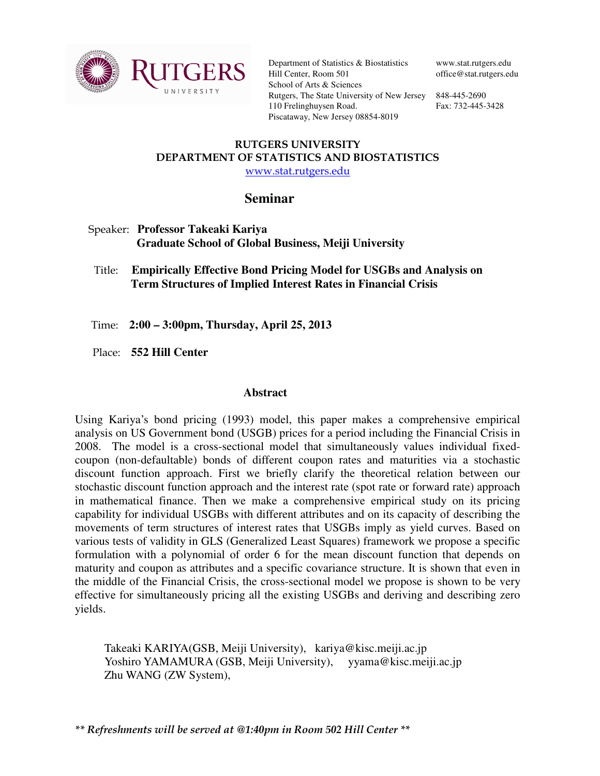

Department of Statistics & Biostatistics Hill Center, Room 501 School of Arts & Sciences Rutgers, The State University of New Jersey 848-445-2690 110 Frelinghuysen Road. Piscataway, New Jersey 08854-8019

www.stat.rutgers.edu office@stat.rutgers.edu

Fax: 732-445-3428

## RUTGERS UNIVERSITY DEPARTMENT OF STATISTICS AND BIOSTATISTICS www.stat.rutgers.edu

## **Seminar**

- Speaker: **Professor Takeaki Kariya Graduate School of Global Business, Meiji University**
- Title: **Empirically Effective Bond Pricing Model for USGBs and Analysis on Term Structures of Implied Interest Rates in Financial Crisis**

Time: **2:00 – 3:00pm, Thursday, April 25, 2013**

Place: **552 Hill Center** 

## **Abstract**

Using Kariya's bond pricing (1993) model, this paper makes a comprehensive empirical analysis on US Government bond (USGB) prices for a period including the Financial Crisis in 2008. The model is a cross-sectional model that simultaneously values individual fixedcoupon (non-defaultable) bonds of different coupon rates and maturities via a stochastic discount function approach. First we briefly clarify the theoretical relation between our stochastic discount function approach and the interest rate (spot rate or forward rate) approach in mathematical finance. Then we make a comprehensive empirical study on its pricing capability for individual USGBs with different attributes and on its capacity of describing the movements of term structures of interest rates that USGBs imply as yield curves. Based on various tests of validity in GLS (Generalized Least Squares) framework we propose a specific formulation with a polynomial of order 6 for the mean discount function that depends on maturity and coupon as attributes and a specific covariance structure. It is shown that even in the middle of the Financial Crisis, the cross-sectional model we propose is shown to be very effective for simultaneously pricing all the existing USGBs and deriving and describing zero yields.

Takeaki KARIYA(GSB, Meiji University), kariya@kisc.meiji.ac.jp Yoshiro YAMAMURA (GSB, Meiji University), yyama@kisc.meiji.ac.jp Zhu WANG (ZW System),

\*\* Refreshments will be served at @1:40pm in Room 502 Hill Center \*\*